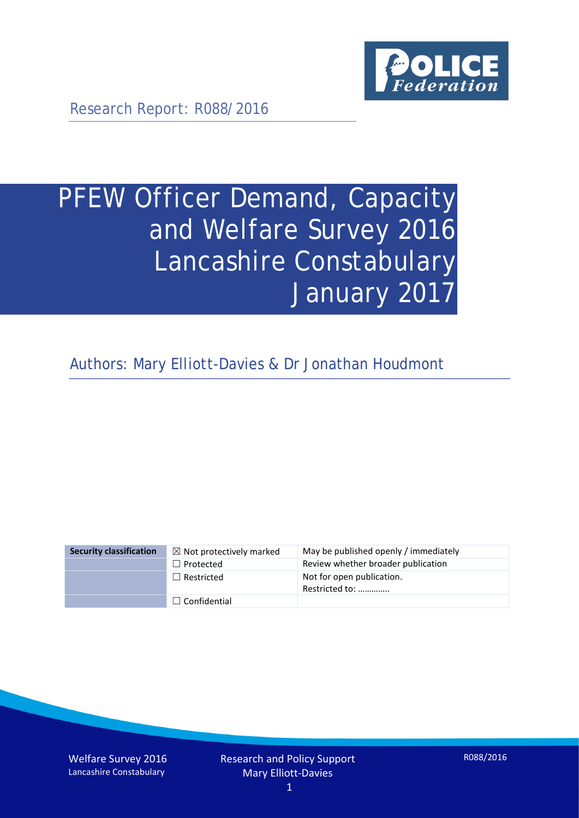

Research Report: R088/2016

# PFEW Officer Demand, Capacity and Welfare Survey 2016 Lancashire Constabulary January 2017

Authors: Mary Elliott-Davies & Dr Jonathan Houdmont

| <b>Security classification</b> | $\boxtimes$ Not protectively marked | May be published openly / immediately       |
|--------------------------------|-------------------------------------|---------------------------------------------|
|                                | $\Box$ Protected                    | Review whether broader publication          |
|                                | $\Box$ Restricted                   | Not for open publication.<br>Restricted to: |
|                                | $\Box$ Confidential                 |                                             |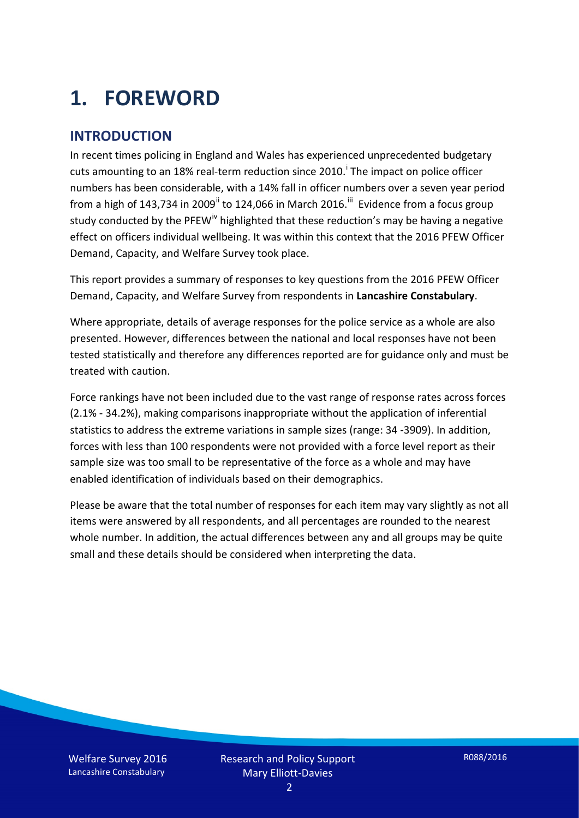# **1. FOREWORD**

#### **INTRODUCTION**

In recent times policing in England and Wales has experienced unprecedented budgetary cuts amount[i](#page-15-0)ng to an 18% real-term reduction since 2010.<sup>1</sup> The impact on police officer numbers has been considerable, with a 14% fall in officer numbers over a seven year period from a high of 143,734 in 2009<sup>[ii](#page-15-1)</sup> to 124,066 in March 2016.<sup>[iii](#page-15-2)</sup> Evidence from a focus group study conducted by the PFEW<sup>[iv](#page-15-3)</sup> highlighted that these reduction's may be having a negative effect on officers individual wellbeing. It was within this context that the 2016 PFEW Officer Demand, Capacity, and Welfare Survey took place.

This report provides a summary of responses to key questions from the 2016 PFEW Officer Demand, Capacity, and Welfare Survey from respondents in **Lancashire Constabulary**.

Where appropriate, details of average responses for the police service as a whole are also presented. However, differences between the national and local responses have not been tested statistically and therefore any differences reported are for guidance only and must be treated with caution.

Force rankings have not been included due to the vast range of response rates across forces (2.1% - 34.2%), making comparisons inappropriate without the application of inferential statistics to address the extreme variations in sample sizes (range: 34 -3909). In addition, forces with less than 100 respondents were not provided with a force level report as their sample size was too small to be representative of the force as a whole and may have enabled identification of individuals based on their demographics.

Please be aware that the total number of responses for each item may vary slightly as not all items were answered by all respondents, and all percentages are rounded to the nearest whole number. In addition, the actual differences between any and all groups may be quite small and these details should be considered when interpreting the data.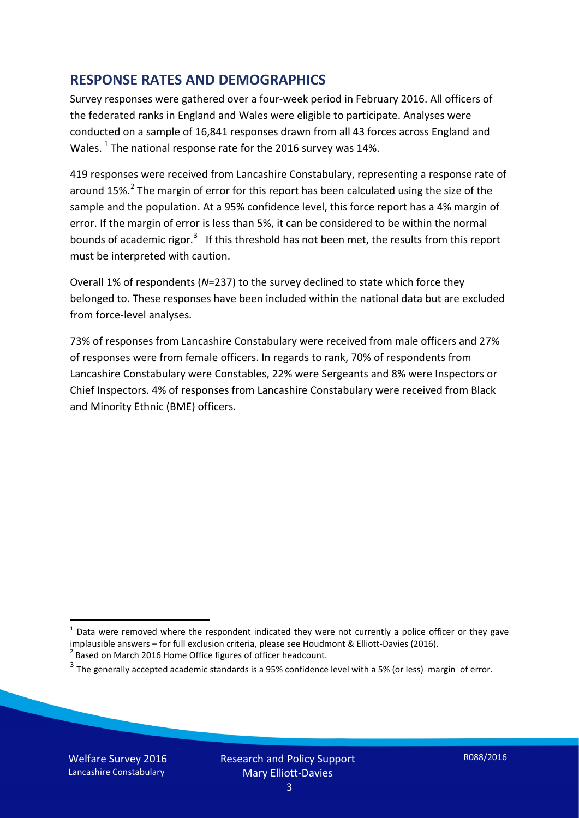#### **RESPONSE RATES AND DEMOGRAPHICS**

Survey responses were gathered over a four-week period in February 2016. All officers of the federated ranks in England and Wales were eligible to participate. Analyses were conducted on a sample of 16,841 responses drawn from all 43 forces across England and Wales.  $^1$  $^1$  The national response rate for the 2016 survey was 14%.

419 responses were received from Lancashire Constabulary, representing a response rate of around 15%.<sup>[2](#page-2-1)</sup> The margin of error for this report has been calculated using the size of the sample and the population. At a 95% confidence level, this force report has a 4% margin of error. If the margin of error is less than 5%, it can be considered to be within the normal bounds of academic rigor.<sup>[3](#page-2-2)</sup> If this threshold has not been met, the results from this report must be interpreted with caution.

Overall 1% of respondents (*N*=237) to the survey declined to state which force they belonged to. These responses have been included within the national data but are excluded from force-level analyses.

73% of responses from Lancashire Constabulary were received from male officers and 27% of responses were from female officers. In regards to rank, 70% of respondents from Lancashire Constabulary were Constables, 22% were Sergeants and 8% were Inspectors or Chief Inspectors. 4% of responses from Lancashire Constabulary were received from Black and Minority Ethnic (BME) officers.

-

<span id="page-2-0"></span> $1$  Data were removed where the respondent indicated they were not currently a police officer or they gave implausible answers – for full exclusion criteria, please see Houdmont & Elliott-Davies (2016).<br><sup>2</sup> Based on March 2016 Home Office figures of officer headcount.

<span id="page-2-1"></span>

<span id="page-2-2"></span> $3$  The generally accepted academic standards is a 95% confidence level with a 5% (or less) margin of error.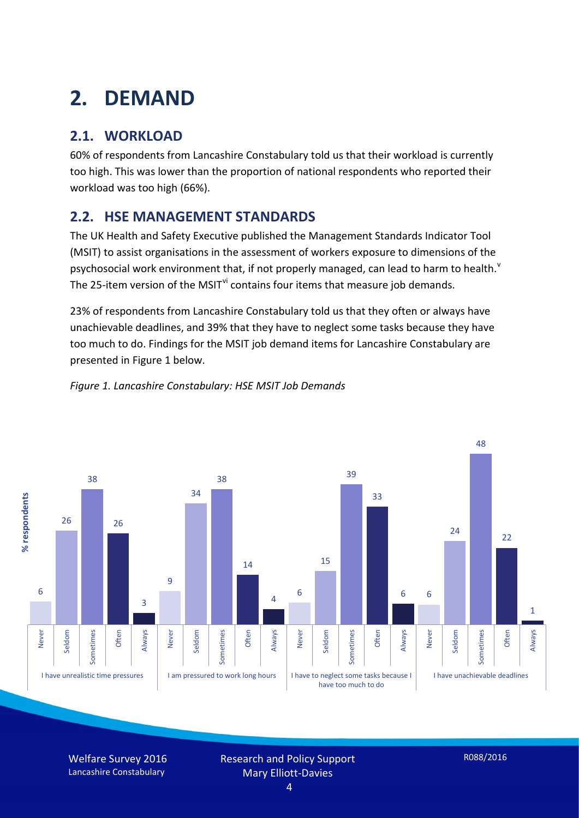# **2. DEMAND**

## **2.1. WORKLOAD**

60% of respondents from Lancashire Constabulary told us that their workload is currently too high. This was lower than the proportion of national respondents who reported their workload was too high (66%).

#### **2.2. HSE MANAGEMENT STANDARDS**

The UK Health and Safety Executive published the Management Standards Indicator Tool (MSIT) to assist organisations in the assessment of workers exposure to dimensions of the psychosocial work en[v](#page-15-4)ironment that, if not properly managed, can lead to harm to health.<sup>v</sup> The 25-item version of the MSIT<sup>[vi](#page-15-5)</sup> contains four items that measure job demands.

23% of respondents from Lancashire Constabulary told us that they often or always have unachievable deadlines, and 39% that they have to neglect some tasks because they have too much to do. Findings for the MSIT job demand items for Lancashire Constabulary are presented in Figure 1 below.



#### *Figure 1. Lancashire Constabulary: HSE MSIT Job Demands*

Welfare Survey 2016 Lancashire Constabulary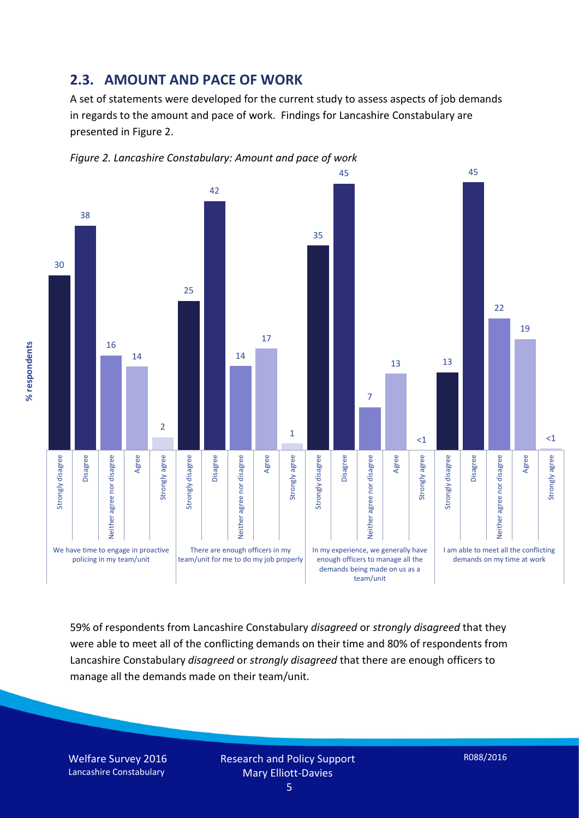#### **2.3. AMOUNT AND PACE OF WORK**

A set of statements were developed for the current study to assess aspects of job demands in regards to the amount and pace of work. Findings for Lancashire Constabulary are presented in Figure 2.





59% of respondents from Lancashire Constabulary *disagreed* or *strongly disagreed* that they were able to meet all of the conflicting demands on their time and 80% of respondents from Lancashire Constabulary *disagreed* or *strongly disagreed* that there are enough officers to manage all the demands made on their team/unit.

Welfare Survey 2016 Lancashire Constabulary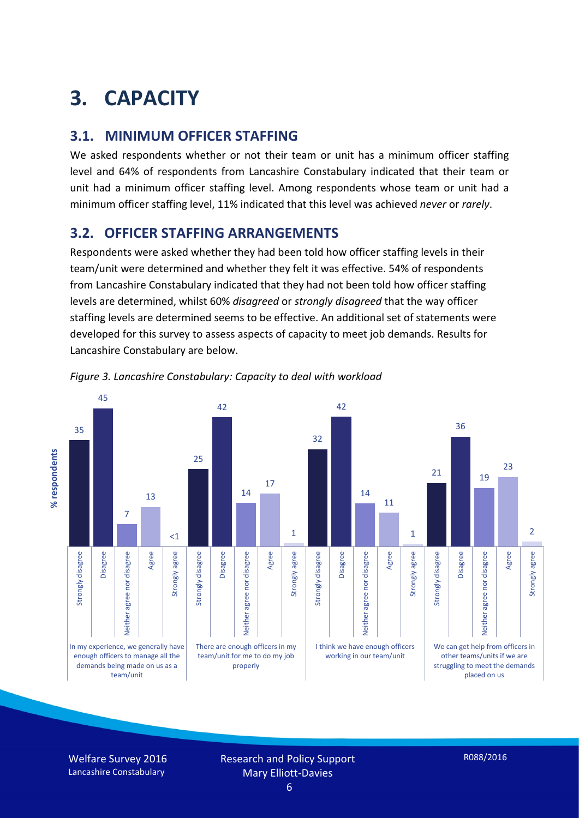# **3. CAPACITY**

#### **3.1. MINIMUM OFFICER STAFFING**

We asked respondents whether or not their team or unit has a minimum officer staffing level and 64% of respondents from Lancashire Constabulary indicated that their team or unit had a minimum officer staffing level. Among respondents whose team or unit had a minimum officer staffing level, 11% indicated that this level was achieved *never* or *rarely*.

#### **3.2. OFFICER STAFFING ARRANGEMENTS**

Respondents were asked whether they had been told how officer staffing levels in their team/unit were determined and whether they felt it was effective. 54% of respondents from Lancashire Constabulary indicated that they had not been told how officer staffing levels are determined, whilst 60% *disagreed* or *strongly disagreed* that the way officer staffing levels are determined seems to be effective. An additional set of statements were developed for this survey to assess aspects of capacity to meet job demands. Results for Lancashire Constabulary are below.



*Figure 3. Lancashire Constabulary: Capacity to deal with workload*

Welfare Survey 2016 Lancashire Constabulary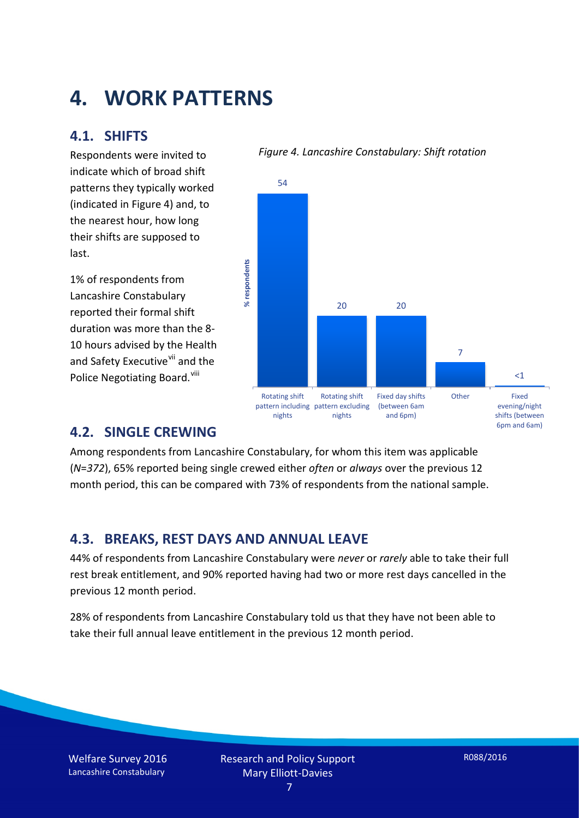## **4. WORK PATTERNS**

#### **4.1. SHIFTS**

Respondents were invited to indicate which of broad shift patterns they typically worked (indicated in Figure 4) and, to the nearest hour, how long their shifts are supposed to last.

1% of respondents from Lancashire Constabulary reported their formal shift duration was more than the 8- 10 hours advised by the Health and Safety Executive<sup>[vii](#page-15-6)</sup> and the Police Negotiating Board.<sup>[viii](#page-15-7)</sup>

#### *Figure 4. Lancashire Constabulary: Shift rotation*



#### **4.2. SINGLE CREWING**

Among respondents from Lancashire Constabulary, for whom this item was applicable (*N*=*372*), 65% reported being single crewed either *often* or *always* over the previous 12 month period, this can be compared with 73% of respondents from the national sample.

#### **4.3. BREAKS, REST DAYS AND ANNUAL LEAVE**

44% of respondents from Lancashire Constabulary were *never* or *rarely* able to take their full rest break entitlement, and 90% reported having had two or more rest days cancelled in the previous 12 month period.

28% of respondents from Lancashire Constabulary told us that they have not been able to take their full annual leave entitlement in the previous 12 month period.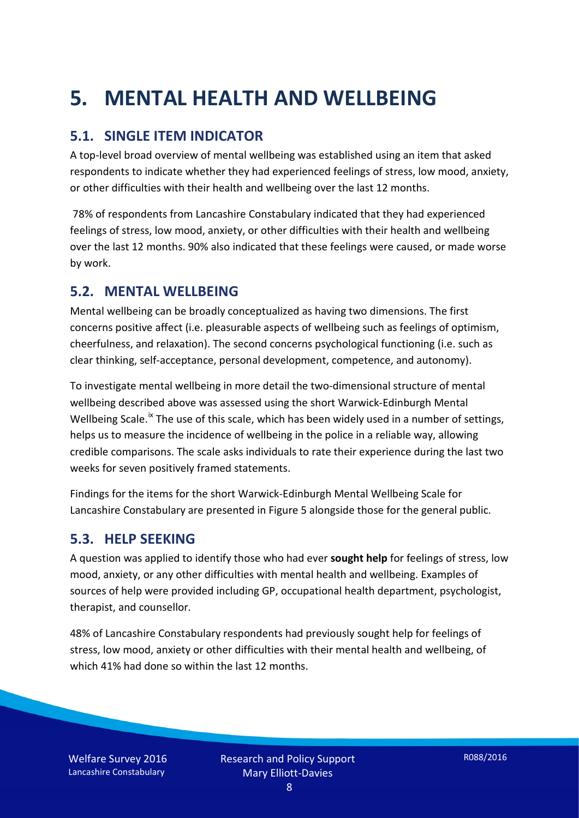# **5. MENTAL HEALTH AND WELLBEING**

#### **5.1. SINGLE ITEM INDICATOR**

A top-level broad overview of mental wellbeing was established using an item that asked respondents to indicate whether they had experienced feelings of stress, low mood, anxiety, or other difficulties with their health and wellbeing over the last 12 months.

78% of respondents from Lancashire Constabulary indicated that they had experienced feelings of stress, low mood, anxiety, or other difficulties with their health and wellbeing over the last 12 months. 90% also indicated that these feelings were caused, or made worse by work.

#### **5.2. MENTAL WELLBEING**

Mental wellbeing can be broadly conceptualized as having two dimensions. The first concerns positive affect (i.e. pleasurable aspects of wellbeing such as feelings of optimism, cheerfulness, and relaxation). The second concerns psychological functioning (i.e. such as clear thinking, self-acceptance, personal development, competence, and autonomy).

To investigate mental wellbeing in more detail the two-dimensional structure of mental wellbeing described above was assessed using the short Warwick-Edinburgh Mental Wellbeing Scale.<sup>[ix](#page-15-8)</sup> The use of this scale, which has been widely used in a number of settings, helps us to measure the incidence of wellbeing in the police in a reliable way, allowing credible comparisons. The scale asks individuals to rate their experience during the last two weeks for seven positively framed statements.

Findings for the items for the short Warwick-Edinburgh Mental Wellbeing Scale for Lancashire Constabulary are presented in Figure 5 alongside those for the general public.

#### **5.3. HELP SEEKING**

A question was applied to identify those who had ever **sought help** for feelings of stress, low mood, anxiety, or any other difficulties with mental health and wellbeing. Examples of sources of help were provided including GP, occupational health department, psychologist, therapist, and counsellor.

48% of Lancashire Constabulary respondents had previously sought help for feelings of stress, low mood, anxiety or other difficulties with their mental health and wellbeing, of which 41% had done so within the last 12 months.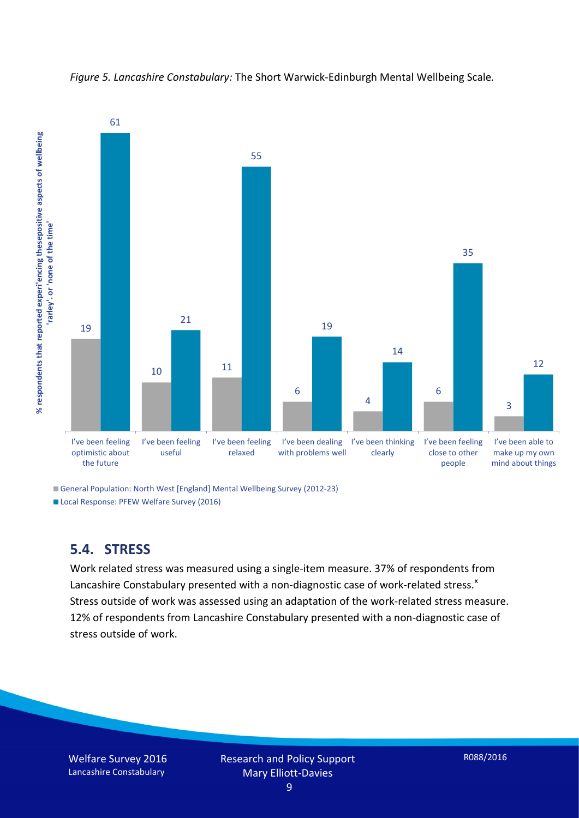

*Figure 5. Lancashire Constabulary:* The Short Warwick-Edinburgh Mental Wellbeing Scale*.*

General Population: North West [England] Mental Wellbeing Survey (2012-23)

Local Response: PFEW Welfare Survey (2016)

#### **5.4. STRESS**

Work related stress was measured using a single-item measure. 37% of respondents from Lancashire Constabulary presented with a non-diagnostic case of work-related stress. $x$ Stress outside of work was assessed using an adaptation of the work-related stress measure. 12% of respondents from Lancashire Constabulary presented with a non-diagnostic case of stress outside of work.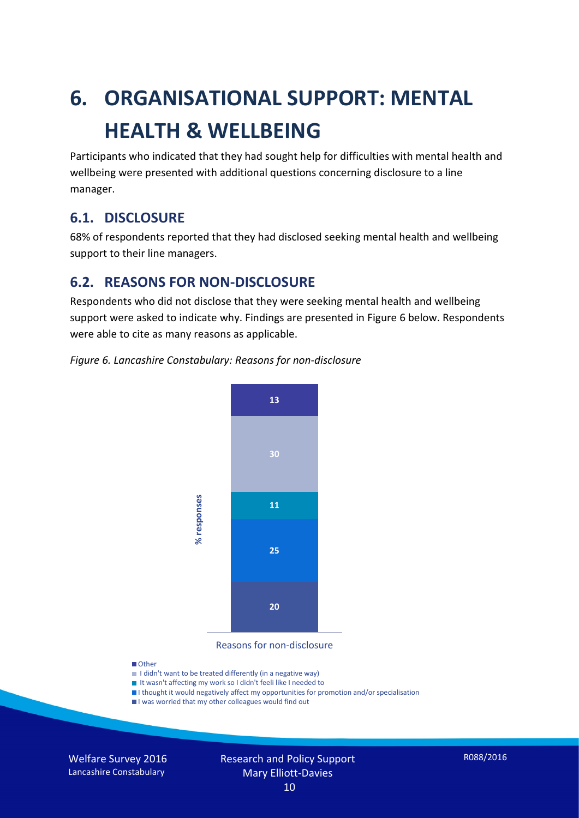# **6. ORGANISATIONAL SUPPORT: MENTAL HEALTH & WELLBEING**

Participants who indicated that they had sought help for difficulties with mental health and wellbeing were presented with additional questions concerning disclosure to a line manager.

#### **6.1. DISCLOSURE**

68% of respondents reported that they had disclosed seeking mental health and wellbeing support to their line managers.

#### **6.2. REASONS FOR NON-DISCLOSURE**

Respondents who did not disclose that they were seeking mental health and wellbeing support were asked to indicate why. Findings are presented in Figure 6 below. Respondents were able to cite as many reasons as applicable.





Reasons for non-disclosure

#### **D**Other

- I didn't want to be treated differently (in a negative way)
- I It wasn't affecting my work so I didn't feeli like I needed to
- I thought it would negatively affect my opportunities for promotion and/or specialisation
- I was worried that my other colleagues would find out

Welfare Survey 2016 Lancashire Constabulary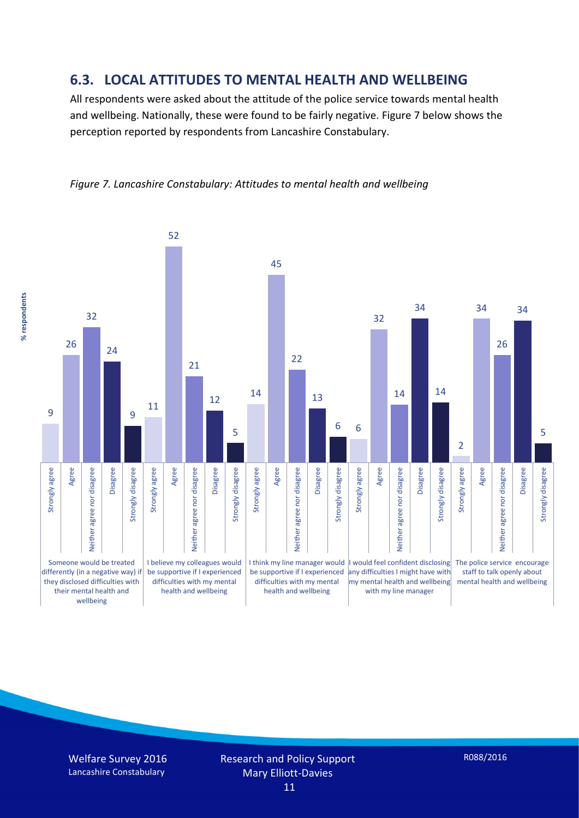#### **6.3. LOCAL ATTITUDES TO MENTAL HEALTH AND WELLBEING**

All respondents were asked about the attitude of the police service towards mental health and wellbeing. Nationally, these were found to be fairly negative. Figure 7 below shows the perception reported by respondents from Lancashire Constabulary.



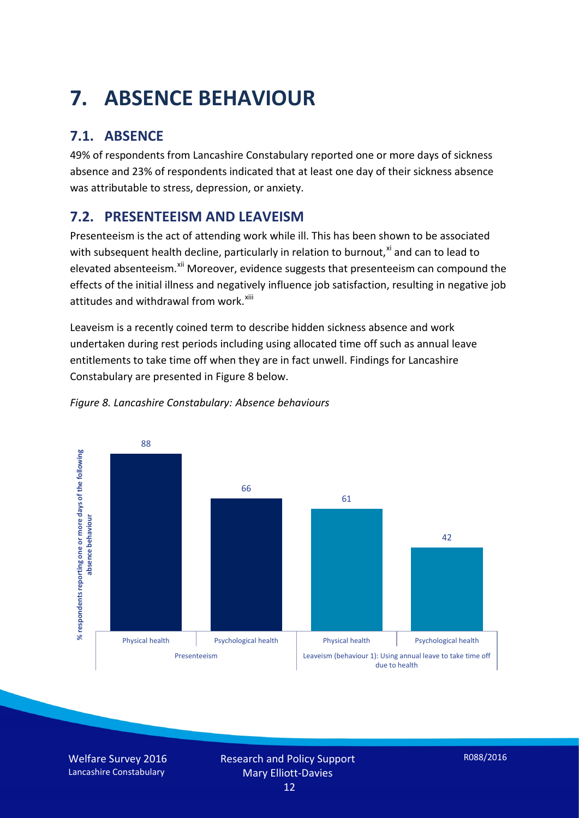# **7. ABSENCE BEHAVIOUR**

## **7.1. ABSENCE**

49% of respondents from Lancashire Constabulary reported one or more days of sickness absence and 23% of respondents indicated that at least one day of their sickness absence was attributable to stress, depression, or anxiety.

### **7.2. PRESENTEEISM AND LEAVEISM**

Presenteeism is the act of attending work while ill. This has been shown to be associated with subsequent health decline, particularly in relation to burnout, $x_i$  and can to lead to elevated absenteeism.<sup>[xii](#page-16-1)</sup> Moreover, evidence suggests that presenteeism can compound the effects of the initial illness and negatively influence job satisfaction, resulting in negative job attitudes and withdrawal from work.<sup>[xiii](#page-16-2)</sup>

Leaveism is a recently coined term to describe hidden sickness absence and work undertaken during rest periods including using allocated time off such as annual leave entitlements to take time off when they are in fact unwell. Findings for Lancashire Constabulary are presented in Figure 8 below.



#### *Figure 8. Lancashire Constabulary: Absence behaviours*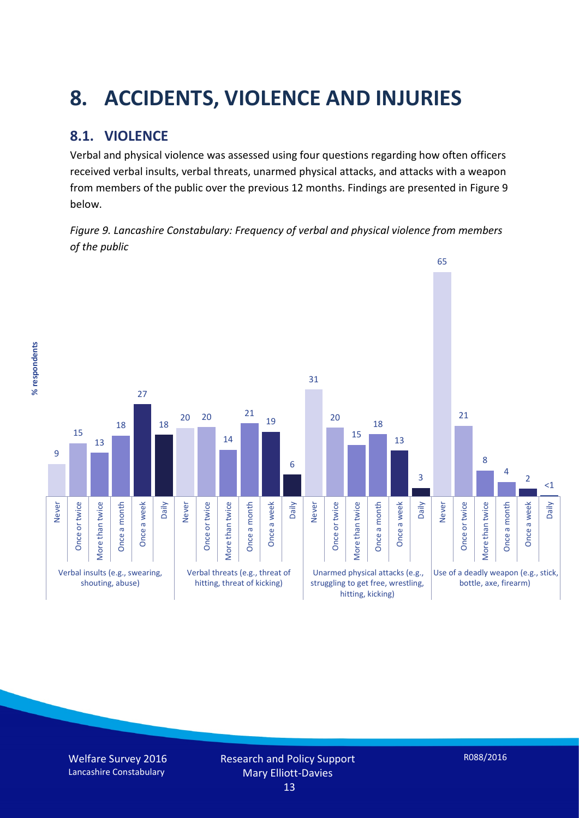# **8. ACCIDENTS, VIOLENCE AND INJURIES**

## **8.1. VIOLENCE**

% respondents **% respondents** Verbal and physical violence was assessed using four questions regarding how often officers received verbal insults, verbal threats, unarmed physical attacks, and attacks with a weapon from members of the public over the previous 12 months. Findings are presented in Figure 9 below.

*Figure 9. Lancashire Constabulary: Frequency of verbal and physical violence from members of the public*

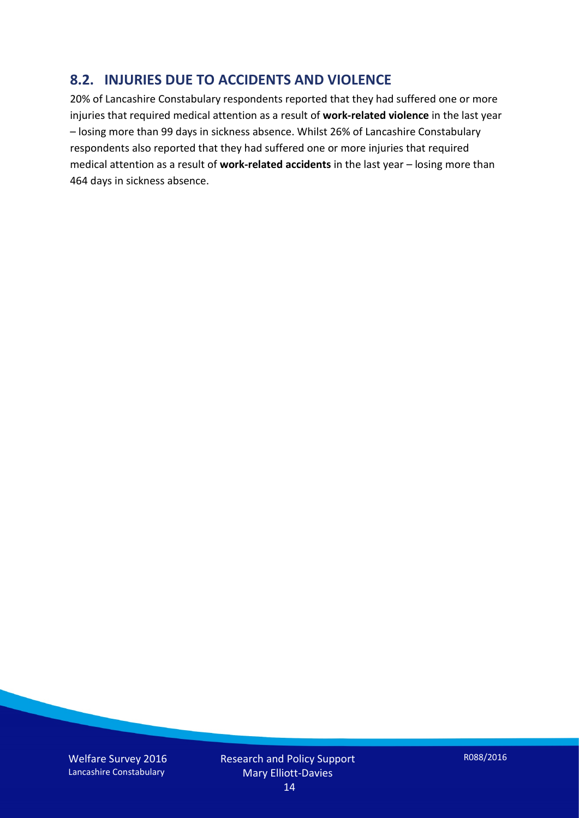#### **8.2. INJURIES DUE TO ACCIDENTS AND VIOLENCE**

20% of Lancashire Constabulary respondents reported that they had suffered one or more injuries that required medical attention as a result of **work-related violence** in the last year – losing more than 99 days in sickness absence. Whilst 26% of Lancashire Constabulary respondents also reported that they had suffered one or more injuries that required medical attention as a result of **work-related accidents** in the last year – losing more than 464 days in sickness absence.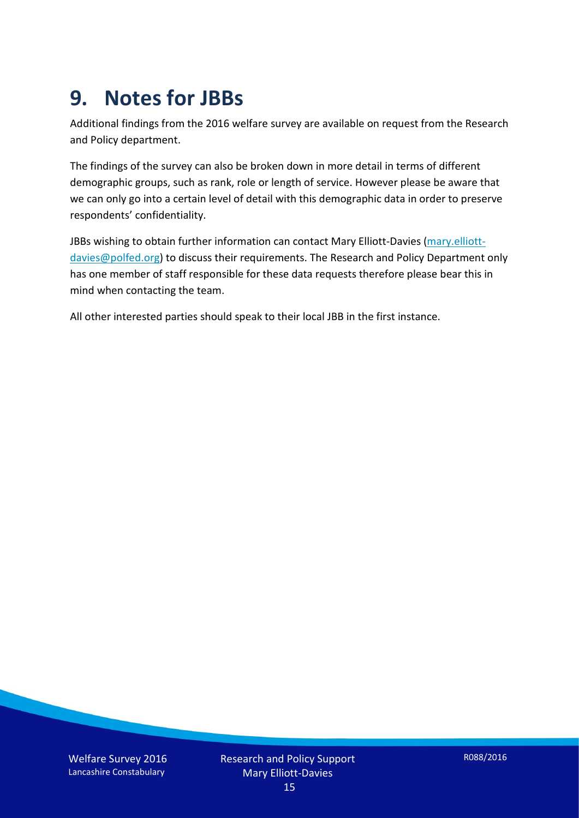## **9. Notes for JBBs**

Additional findings from the 2016 welfare survey are available on request from the Research and Policy department.

The findings of the survey can also be broken down in more detail in terms of different demographic groups, such as rank, role or length of service. However please be aware that we can only go into a certain level of detail with this demographic data in order to preserve respondents' confidentiality.

JBBs wishing to obtain further information can contact Mary Elliott-Davies [\(mary.elliott](mailto:mary.elliott-davies@polfed.org)[davies@polfed.org\)](mailto:mary.elliott-davies@polfed.org) to discuss their requirements. The Research and Policy Department only has one member of staff responsible for these data requests therefore please bear this in mind when contacting the team.

All other interested parties should speak to their local JBB in the first instance.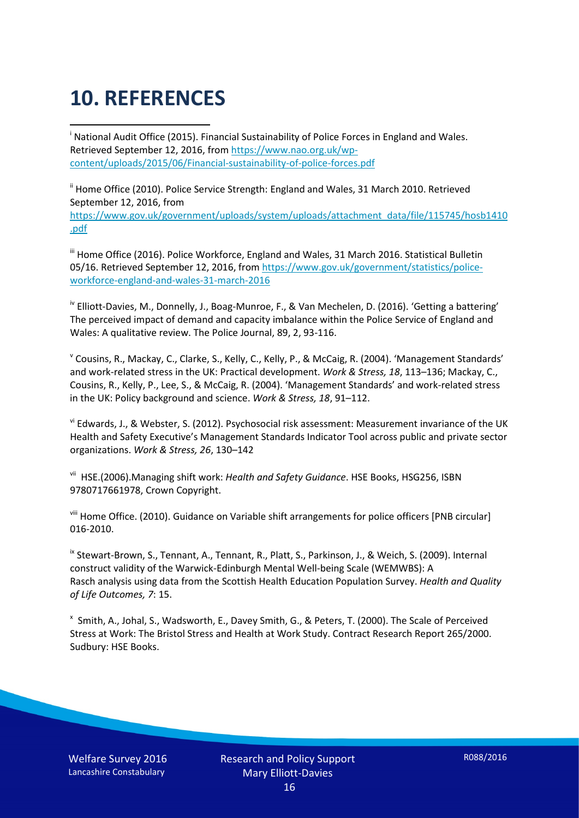# **10. REFERENCES**

<span id="page-15-0"></span>i National Audit Office (2015). Financial Sustainability of Police Forces in England and Wales. Retrieved September 12, 2016, fro[m https://www.nao.org.uk/wp](https://www.nao.org.uk/wp-content/uploads/2015/06/Financial-sustainability-of-police-forces.pdf)[content/uploads/2015/06/Financial-sustainability-of-police-forces.pdf](https://www.nao.org.uk/wp-content/uploads/2015/06/Financial-sustainability-of-police-forces.pdf)

<span id="page-15-1"></span><sup>ii</sup> Home Office (2010). Police Service Strength: England and Wales, 31 March 2010. Retrieved September 12, 2016, from [https://www.gov.uk/government/uploads/system/uploads/attachment\\_data/file/115745/hosb1410](https://www.gov.uk/government/uploads/system/uploads/attachment_data/file/115745/hosb1410.pdf) [.pdf](https://www.gov.uk/government/uploads/system/uploads/attachment_data/file/115745/hosb1410.pdf)

<span id="page-15-2"></span><sup>iii</sup> Home Office (2016). Police Workforce, England and Wales, 31 March 2016. Statistical Bulletin 05/16. Retrieved September 12, 2016, fro[m https://www.gov.uk/government/statistics/police](https://www.gov.uk/government/statistics/police-workforce-england-and-wales-31-march-2016)[workforce-england-and-wales-31-march-2016](https://www.gov.uk/government/statistics/police-workforce-england-and-wales-31-march-2016)

<span id="page-15-3"></span><sup>iv</sup> Elliott-Davies, M., Donnelly, J., Boag-Munroe, F., & Van Mechelen, D. (2016). 'Getting a battering' The perceived impact of demand and capacity imbalance within the Police Service of England and Wales: A qualitative review. The Police Journal, 89, 2, 93-116.

<span id="page-15-4"></span><sup>v</sup> Cousins, R., Mackay, C., Clarke, S., Kelly, C., Kelly, P., & McCaig, R. (2004). 'Management Standards' and work-related stress in the UK: Practical development. *Work & Stress, 18*, 113–136; Mackay, C., Cousins, R., Kelly, P., Lee, S., & McCaig, R. (2004). 'Management Standards' and work-related stress in the UK: Policy background and science. *Work & Stress, 18*, 91–112.

<span id="page-15-5"></span>vi Edwards, J., & Webster, S. (2012). Psychosocial risk assessment: Measurement invariance of the UK Health and Safety Executive's Management Standards Indicator Tool across public and private sector organizations. *Work & Stress, 26*, 130–142

<span id="page-15-6"></span>vii HSE.(2006).Managing shift work: *Health and Safety Guidance*. HSE Books, HSG256, ISBN 9780717661978, Crown Copyright.

<span id="page-15-7"></span>viii Home Office. (2010). Guidance on Variable shift arrangements for police officers [PNB circular] 016-2010.

<span id="page-15-8"></span><sup>ix</sup> Stewart-Brown, S., Tennant, A., Tennant, R., Platt, S., Parkinson, J., & Weich, S. (2009). Internal construct validity of the Warwick-Edinburgh Mental Well-being Scale (WEMWBS): A Rasch analysis using data from the Scottish Health Education Population Survey. *Health and Quality of Life Outcomes, 7*: 15.

<span id="page-15-9"></span>x Smith, A., Johal, S., Wadsworth, E., Davey Smith, G., & Peters, T. (2000). The Scale of Perceived Stress at Work: The Bristol Stress and Health at Work Study. Contract Research Report 265/2000. Sudbury: HSE Books.